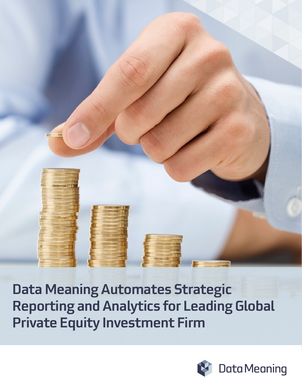# Data Meaning Automates Strategic Reporting and Analytics for Leading Global Private Equity Investment Firm

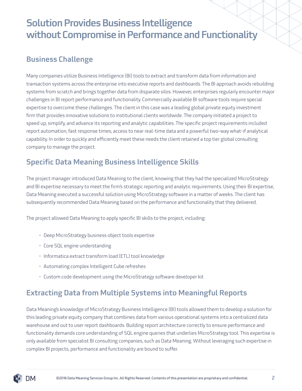# Solution Provides Business Intelligence without Compromise in Performance and Functionality

#### Business Challenge

Many companies utilize Business Intelligence (BI) tools to extract and transform data from information and transaction systems across the enterprise into executive reports and dashboards. The BI approach avoids rebuilding systems from scratch and brings together data from disparate silos. However, enterprises regularly encounter major challenges in BI report performance and functionality. Commercially available BI software tools require special expertise to overcome these challenges. The client in this case was a leading global private equity investment firm that provides innovative solutions to institutional clients worldwide. The company initiated a project to speed up, simplify, and advance its reporting and analytic capabilities. The specific project requirements included report automation, fast response times, access to near real-time data and a powerful two-way what-if analytical capability. In order to quickly and efficiently meet these needs the client retained a top tier global consulting company to manage the project.

#### Specific Data Meaning Business Intelligence Skills

The project manager introduced Data Meaning to the client, knowing that they had the specialized MicroStrategy and BI expertise necessary to meet the firm's strategic reporting and analytic requirements. Using their BI expertise, Data Meaning executed a successful solution using MicroStrategy software in a matter of weeks. The client has subsequently recommended Data Meaning based on the performance and functionality that they delivered.

The project allowed Data Meaning to apply specific BI skills to the project, including:

- Deep MicroStrategy business object tools expertise
- Core SQL engine understanding
- Informatica extract transform load (ETL) tool knowledge
- Automating complex Intelligent Cube refreshes
- Custom code development using the MicroStrategy software developer kit

## Extracting Data from Multiple Systems into Meaningful Reports

Data Meaning's knowledge of MicroStrategy Business Intelligence (BI) tools allowed them to develop a solution for this leading private equity company that combines data from various operational systems into a centralized data warehouse and out to user report dashboards. Building report architecture correctly to ensure performance and functionality demands core understanding of SQL engine queries that underlies MicroStrategy tool. This expertise is only available from specialist BI consulting companies, such as Data Meaning. Without leveraging such expertise in complex BI projects, performance and functionality are bound to suffer.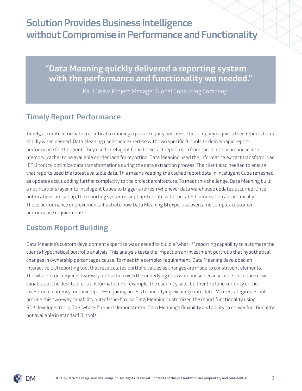# Solution Provides Business Intelligence without Compromise in Performance and Functionality

## "Data Meaning quickly delivered a reporting system with the performance and functionality we needed."

Paul Shaw, Project Manager Global Consulting Company

#### Timely Report Performance

Timely, accurate information is critical to running a private equity business. The company requires their reports to run rapidly when needed. Data Meaning used their expertise with two specific BI tools to deliver rapid report performance for the client. They used Intelligent Cube to extract report data from the central warehouse into memory (cache) to be available on-demand for reporting. Data Meaning used the Informatica extract transform load (ETL) tool to optimize data transformations during the data extraction process. The client also needed to ensure that reports used the latest available data. This means keeping the cached report data in Intelligent Cube refreshed as updates occur, adding further complexity to the project architecture. To meet this challenge, Data Meaning built a notifications layer into Intelligent Cubes to trigger a refresh whenever data warehouse updates occurred. Once notifications are set up, the reporting system is kept up-to-date with the latest information automatically. These performance improvements illustrate how Data Meaning BI expertise overcame complex customer performance requirements.

## Custom Report Building

Data Meaning's custom development expertise was needed to build a "what-if" reporting capability to automate the client's hypothetical portfolio analysis. This analysis tests the impact on an investment portfolio that hypothetical changes in ownership percentages cause. To meet this complex requirement, Data Meaning developed an interactive GUI reporting tool that recalculates portfolio values as changes are made to constituent elements. The what-if tool requires two-way interaction with the underlying data warehouse because users introduce new variables at the desktop for transformation. For example, the user may select either the fund currency or the investment currency for their report—requiring access to underlying exchange rate data. MicroStrategy does not provide this two-way capability out-of-the-box, so Data Meaning customized the report functionality using SDK developer tools. The "what-if" report demonstrated Data Meaning's flexibility and ability to deliver functionality not available in standard BI tools.